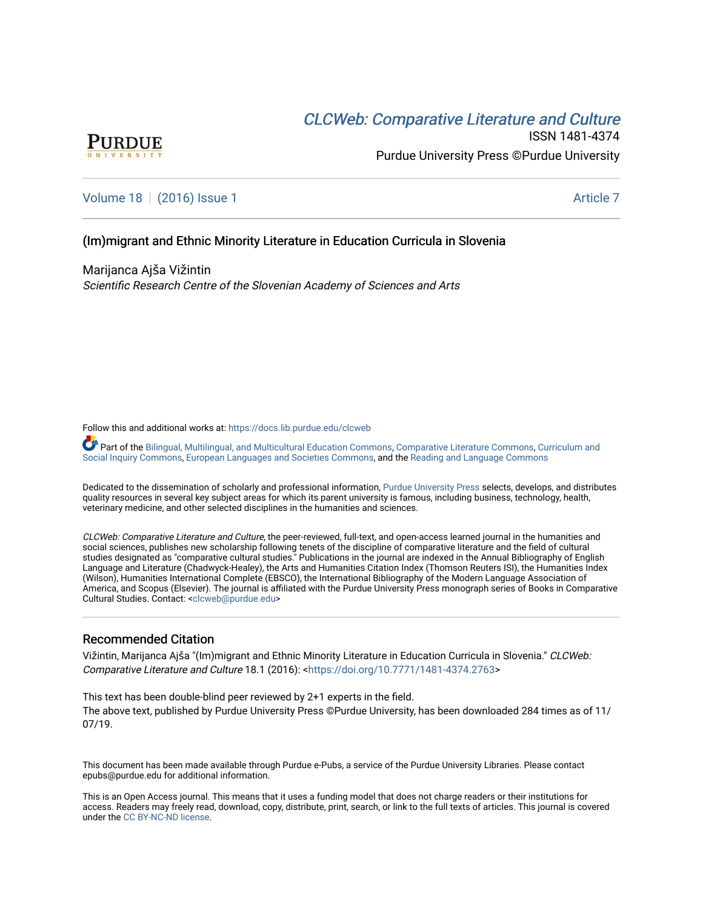# CLCW[eb: Comparative Liter](https://docs.lib.purdue.edu/clcweb)ature and Culture



ISSN 1481-4374 Purdue University Press ©Purdue University

[Volume 18](https://docs.lib.purdue.edu/clcweb/vol18) | [\(2016\) Issue 1](https://docs.lib.purdue.edu/clcweb/vol18/iss1) Article 7

### (Im)migrant and Ethnic Minority Literature in Education Curricula in Slovenia

Marijanca Ajša Vižintin Scientific Research Centre of the Slovenian Academy of Sciences and Arts

Follow this and additional works at: [https://docs.lib.purdue.edu/clcweb](https://docs.lib.purdue.edu/clcweb?utm_source=docs.lib.purdue.edu%2Fclcweb%2Fvol18%2Fiss1%2F7&utm_medium=PDF&utm_campaign=PDFCoverPages)

Part of the [Bilingual, Multilingual, and Multicultural Education Commons,](http://network.bepress.com/hgg/discipline/785?utm_source=docs.lib.purdue.edu%2Fclcweb%2Fvol18%2Fiss1%2F7&utm_medium=PDF&utm_campaign=PDFCoverPages) [Comparative Literature Commons](http://network.bepress.com/hgg/discipline/454?utm_source=docs.lib.purdue.edu%2Fclcweb%2Fvol18%2Fiss1%2F7&utm_medium=PDF&utm_campaign=PDFCoverPages), Curriculum and [Social Inquiry Commons,](http://network.bepress.com/hgg/discipline/1038?utm_source=docs.lib.purdue.edu%2Fclcweb%2Fvol18%2Fiss1%2F7&utm_medium=PDF&utm_campaign=PDFCoverPages) [European Languages and Societies Commons,](http://network.bepress.com/hgg/discipline/482?utm_source=docs.lib.purdue.edu%2Fclcweb%2Fvol18%2Fiss1%2F7&utm_medium=PDF&utm_campaign=PDFCoverPages) and the [Reading and Language Commons](http://network.bepress.com/hgg/discipline/1037?utm_source=docs.lib.purdue.edu%2Fclcweb%2Fvol18%2Fiss1%2F7&utm_medium=PDF&utm_campaign=PDFCoverPages) 

Dedicated to the dissemination of scholarly and professional information, [Purdue University Press](http://www.thepress.purdue.edu/) selects, develops, and distributes quality resources in several key subject areas for which its parent university is famous, including business, technology, health, veterinary medicine, and other selected disciplines in the humanities and sciences.

CLCWeb: Comparative Literature and Culture, the peer-reviewed, full-text, and open-access learned journal in the humanities and social sciences, publishes new scholarship following tenets of the discipline of comparative literature and the field of cultural studies designated as "comparative cultural studies." Publications in the journal are indexed in the Annual Bibliography of English Language and Literature (Chadwyck-Healey), the Arts and Humanities Citation Index (Thomson Reuters ISI), the Humanities Index (Wilson), Humanities International Complete (EBSCO), the International Bibliography of the Modern Language Association of America, and Scopus (Elsevier). The journal is affiliated with the Purdue University Press monograph series of Books in Comparative Cultural Studies. Contact: [<clcweb@purdue.edu](mailto:clcweb@purdue.edu)>

### Recommended Citation

Vižintin, Marijanca Ajša "(Im)migrant and Ethnic Minority Literature in Education Curricula in Slovenia." CLCWeb: Comparative Literature and Culture 18.1 (2016): <<https://doi.org/10.7771/1481-4374.2763>>

This text has been double-blind peer reviewed by 2+1 experts in the field. The above text, published by Purdue University Press ©Purdue University, has been downloaded 284 times as of 11/ 07/19.

This document has been made available through Purdue e-Pubs, a service of the Purdue University Libraries. Please contact epubs@purdue.edu for additional information.

This is an Open Access journal. This means that it uses a funding model that does not charge readers or their institutions for access. Readers may freely read, download, copy, distribute, print, search, or link to the full texts of articles. This journal is covered under the [CC BY-NC-ND license.](https://creativecommons.org/licenses/by-nc-nd/4.0/)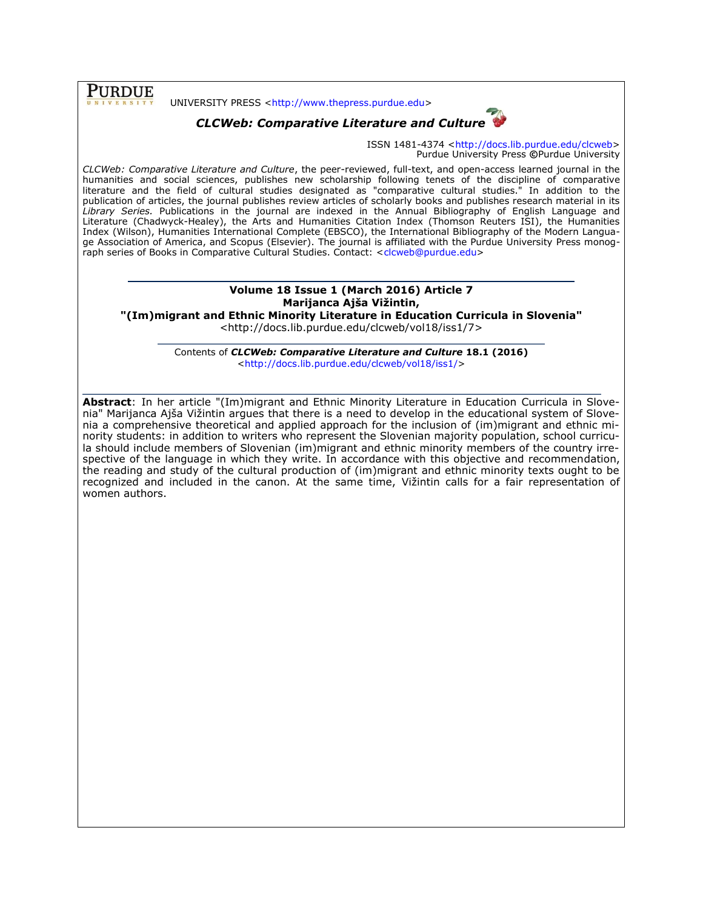**PURDUE** 

UNIVERSITY PRESS [<http://www.thepress.purdue.edu>](http://www.thepress.purdue.edu/)

# *CLCWeb: Comparative Literature and Culture*



ISSN 1481-4374 [<http://docs.lib.purdue.edu/clcweb>](http://docs.lib.purdue.edu/clcweb) Purdue University Press **©**Purdue University

*CLCWeb: Comparative Literature and Culture*, the peer-reviewed, full-text, and open-access learned journal in the humanities and social sciences, publishes new scholarship following tenets of the discipline of comparative literature and the field of cultural studies designated as "comparative cultural studies." In addition to the publication of articles, the journal publishes review articles of scholarly books and publishes research material in its *Library Series.* Publications in the journal are indexed in the Annual Bibliography of English Language and Literature (Chadwyck-Healey), the Arts and Humanities Citation Index (Thomson Reuters ISI), the Humanities Index (Wilson), Humanities International Complete (EBSCO), the International Bibliography of the Modern Language Association of America, and Scopus (Elsevier). The journal is affiliated with the Purdue University Press monog-raph series of Books in Comparative Cultural Studies. Contact: [<clcweb@purdue.edu>](mailto:clcweb@purdue.edu)

# **Volume 18 Issue 1 (March 2016) Article 7 Marijanca Ajša Vižintin,**

**"(Im)migrant and Ethnic Minority Literature in Education Curricula in Slovenia"**

<http://docs.lib.purdue.edu/clcweb/vol18/iss1/7>

Contents of *CLCWeb: Comparative Literature and Culture* **18.1 (2016)** [<http://docs.lib.purdue.edu/clcweb/vol18/iss1/>](http://docs.lib.purdue.edu/clcweb/vol18/iss1/)

**Abstract**: In her article "(Im)migrant and Ethnic Minority Literature in Education Curricula in Slovenia" Marijanca Ajša Vižintin argues that there is a need to develop in the educational system of Slovenia a comprehensive theoretical and applied approach for the inclusion of (im)migrant and ethnic minority students: in addition to writers who represent the Slovenian majority population, school curricula should include members of Slovenian (im)migrant and ethnic minority members of the country irrespective of the language in which they write. In accordance with this objective and recommendation, the reading and study of the cultural production of (im)migrant and ethnic minority texts ought to be recognized and included in the canon. At the same time, Vižintin calls for a fair representation of women authors.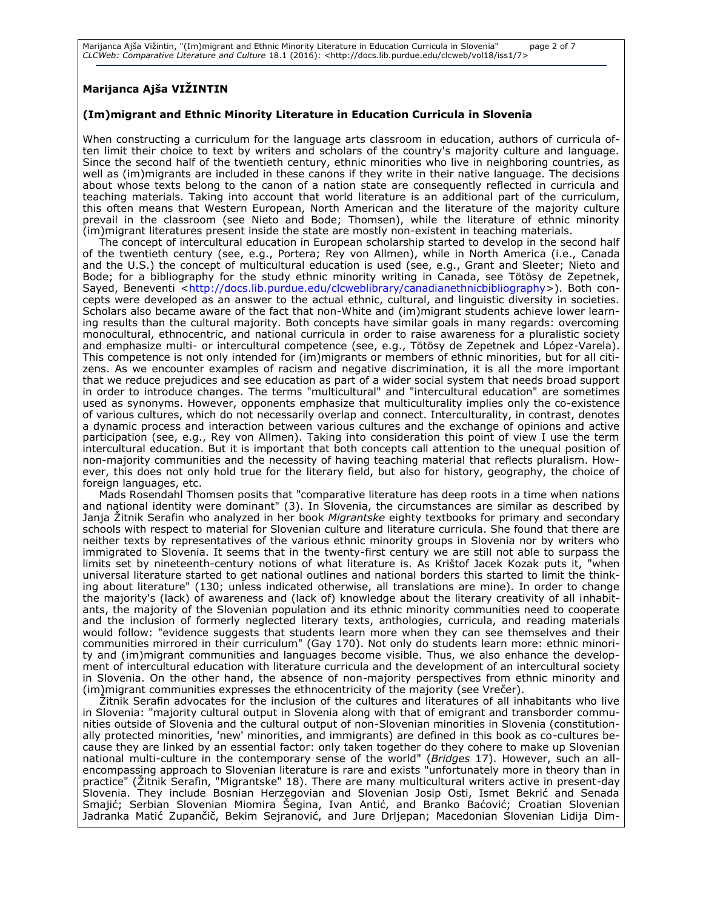Marijanca Ajša Vižintin, "(Im)migrant and Ethnic Minority Literature in Education Curricula in Slovenia" page 2 of 7 *CLCWeb: Comparative Literature and Culture* 18.1 (2016): <http://docs.lib.purdue.edu/clcweb/vol18/iss1/7>

## **Marijanca Ajša VIŽINTIN**

#### **(Im)migrant and Ethnic Minority Literature in Education Curricula in Slovenia**

When constructing a curriculum for the language arts classroom in education, authors of curricula often limit their choice to text by writers and scholars of the country's majority culture and language. Since the second half of the twentieth century, ethnic minorities who live in neighboring countries, as well as (im)migrants are included in these canons if they write in their native language. The decisions about whose texts belong to the canon of a nation state are consequently reflected in curricula and teaching materials. Taking into account that world literature is an additional part of the curriculum, this often means that Western European, North American and the literature of the majority culture prevail in the classroom (see Nieto and Bode; Thomsen), while the literature of ethnic minority (im)migrant literatures present inside the state are mostly non-existent in teaching materials.

The concept of intercultural education in European scholarship started to develop in the second half of the twentieth century (see, e.g., Portera; Rey von Allmen), while in North America (i.e., Canada and the U.S.) the concept of multicultural education is used (see, e.g., Grant and Sleeter; Nieto and Bode; for a bibliography for the study ethnic minority writing in Canada, see Tötösy de Zepetnek, Sayed, Beneventi [<http://docs.lib.purdue.edu/clcweblibrary/canadianethnicbibliography>](http://docs.lib.purdue.edu/clcweblibrary/canadianethnicbibliography)). Both concepts were developed as an answer to the actual ethnic, cultural, and linguistic diversity in societies. Scholars also became aware of the fact that non-White and (im)migrant students achieve lower learning results than the cultural majority. Both concepts have similar goals in many regards: overcoming monocultural, ethnocentric, and national curricula in order to raise awareness for a pluralistic society and emphasize multi- or intercultural competence (see, e.g., Tötösy de Zepetnek and López-Varela). This competence is not only intended for (im)migrants or members of ethnic minorities, but for all citizens. As we encounter examples of racism and negative discrimination, it is all the more important that we reduce prejudices and see education as part of a wider social system that needs broad support in order to introduce changes. The terms "multicultural" and "intercultural education" are sometimes used as synonyms. However, opponents emphasize that multiculturality implies only the co-existence of various cultures, which do not necessarily overlap and connect. Interculturality, in contrast, denotes a dynamic process and interaction between various cultures and the exchange of opinions and active participation (see, e.g., Rey von Allmen). Taking into consideration this point of view I use the term intercultural education. But it is important that both concepts call attention to the unequal position of non-majority communities and the necessity of having teaching material that reflects pluralism. However, this does not only hold true for the literary field, but also for history, geography, the choice of foreign languages, etc.

Mads Rosendahl Thomsen posits that "comparative literature has deep roots in a time when nations and national identity were dominant" (3). In Slovenia, the circumstances are similar as described by Janja Žitnik Serafin who analyzed in her book *Migrantske* eighty textbooks for primary and secondary schools with respect to material for Slovenian culture and literature curricula. She found that there are neither texts by representatives of the various ethnic minority groups in Slovenia nor by writers who immigrated to Slovenia. It seems that in the twenty-first century we are still not able to surpass the limits set by nineteenth-century notions of what literature is. As Krištof Jacek Kozak puts it, "when universal literature started to get national outlines and national borders this started to limit the thinking about literature" (130; unless indicated otherwise, all translations are mine). In order to change the majority's (lack) of awareness and (lack of) knowledge about the literary creativity of all inhabitants, the majority of the Slovenian population and its ethnic minority communities need to cooperate and the inclusion of formerly neglected literary texts, anthologies, curricula, and reading materials would follow: "evidence suggests that students learn more when they can see themselves and their communities mirrored in their curriculum" (Gay 170). Not only do students learn more: ethnic minority and (im)migrant communities and languages become visible. Thus, we also enhance the development of intercultural education with literature curricula and the development of an intercultural society in Slovenia. On the other hand, the absence of non-majority perspectives from ethnic minority and (im)migrant communities expresses the ethnocentricity of the majority (see Vrečer).

Žitnik Serafin advocates for the inclusion of the cultures and literatures of all inhabitants who live in Slovenia: "majority cultural output in Slovenia along with that of emigrant and transborder communities outside of Slovenia and the cultural output of non-Slovenian minorities in Slovenia (constitutionally protected minorities, 'new' minorities, and immigrants) are defined in this book as co-cultures because they are linked by an essential factor: only taken together do they cohere to make up Slovenian national multi-culture in the contemporary sense of the world" (*Bridges* 17). However, such an allencompassing approach to Slovenian literature is rare and exists "unfortunately more in theory than in practice" (Žitnik Serafin, "Migrantske" 18). There are many multicultural writers active in present-day Slovenia. They include Bosnian Herzegovian and Slovenian Josip Osti, Ismet Bekrić and Senada Smajić; Serbian Slovenian Miomira Šegina, Ivan Antić, and Branko Baćović; Croatian Slovenian Jadranka Matić Zupančič, Bekim Sejranović, and Jure Drljepan; Macedonian Slovenian Lidija Dim-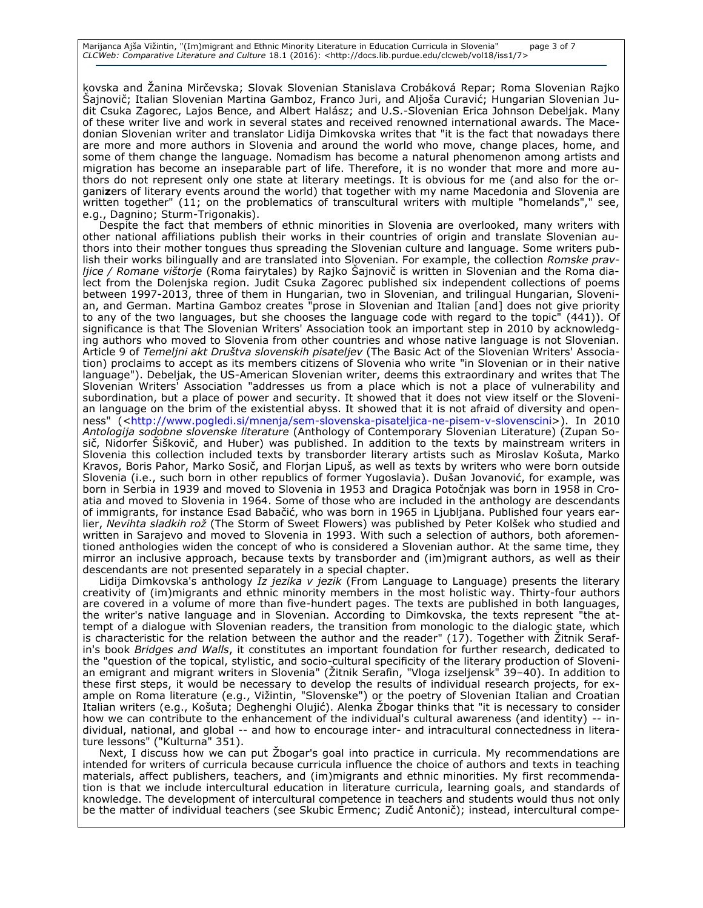kovska and Žanina Mirčevska; Slovak Slovenian Stanislava Crobáková Repar; Roma Slovenian Rajko Šajnovič; Italian Slovenian Martina Gamboz, Franco Juri, and Aljoša Curavić; Hungarian Slovenian Judit Csuka Zagorec, Lajos Bence, and Albert Halász; and U.S.-Slovenian Erica Johnson Debeljak. Many of these writer live and work in several states and received renowned international awards. The Macedonian Slovenian writer and translator Lidija Dimkovska writes that "it is the fact that nowadays there are more and more authors in Slovenia and around the world who move, change places, home, and some of them change the language. Nomadism has become a natural phenomenon among artists and migration has become an inseparable part of life. Therefore, it is no wonder that more and more authors do not represent only one state at literary meetings. It is obvious for me (and also for the organi**z**ers of literary events around the world) that together with my name Macedonia and Slovenia are written together" (11; on the problematics of transcultural writers with multiple "homelands"," see, e.g., Dagnino; Sturm-Trigonakis).

Despite the fact that members of ethnic minorities in Slovenia are overlooked, many writers with other national affiliations publish their works in their countries of origin and translate Slovenian authors into their mother tongues thus spreading the Slovenian culture and language. Some writers publish their works bilingually and are translated into Slovenian. For example, the collection *Romske pravljice / Romane vištorje* (Roma fairytales) by Rajko Šajnovič is written in Slovenian and the Roma dialect from the Dolenjska region. Judit Csuka Zagorec published six independent collections of poems between 1997-2013, three of them in Hungarian, two in Slovenian, and trilingual Hungarian, Slovenian, and German. Martina Gamboz creates "prose in Slovenian and Italian [and] does not give priority to any of the two languages, but she chooses the language code with regard to the topic" (441)). Of significance is that The Slovenian Writers' Association took an important step in 2010 by acknowledging authors who moved to Slovenia from other countries and whose native language is not Slovenian. Article 9 of *Temeljni akt Društva slovenskih pisateljev* (The Basic Act of the Slovenian Writers' Association) proclaims to accept as its members citizens of Slovenia who write "in Slovenian or in their native language"). Debeljak, the US-American Slovenian writer, deems this extraordinary and writes that The Slovenian Writers' Association "addresses us from a place which is not a place of vulnerability and subordination, but a place of power and security. It showed that it does not view itself or the Slovenian language on the brim of the existential abyss. It showed that it is not afraid of diversity and openness" ([<http://www.pogledi.si/mnenja/sem-slovenska-pisateljica-ne-pisem-v-slovenscini>](http://www.pogledi.si/mnenja/sem-slovenska-pisateljica-ne-pisem-v-slovenscini)). In 2010 *Antologija sodobne slovenske literature* (Anthology of Contemporary Slovenian Literature) (Zupan Sosič, Nidorfer Šiškovič, and Huber) was published. In addition to the texts by mainstream writers in Slovenia this collection included texts by transborder literary artists such as Miroslav Košuta, Marko Kravos, Boris Pahor, Marko Sosič, and Florjan Lipuš, as well as texts by writers who were born outside Slovenia (i.e., such born in other republics of former Yugoslavia). Dušan Jovanović, for example, was born in Serbia in 1939 and moved to Slovenia in 1953 and Dragica Potočnjak was born in 1958 in Croatia and moved to Slovenia in 1964. Some of those who are included in the anthology are descendants of immigrants, for instance Esad Babačić, who was born in 1965 in Ljubljana. Published four years earlier, *Nevihta sladkih rož* (The Storm of Sweet Flowers) was published by Peter Kolšek who studied and written in Sarajevo and moved to Slovenia in 1993. With such a selection of authors, both aforementioned anthologies widen the concept of who is considered a Slovenian author. At the same time, they mirror an inclusive approach, because texts by transborder and (im)migrant authors, as well as their descendants are not presented separately in a special chapter.

Lidija Dimkovska's anthology *Iz jezika v jezik* (From Language to Language) presents the literary creativity of (im)migrants and ethnic minority members in the most holistic way. Thirty-four authors are covered in a volume of more than five-hundert pages. The texts are published in both languages, the writer's native language and in Slovenian. According to Dimkovska, the texts represent "the attempt of a dialogue with Slovenian readers, the transition from monologic to the dialogic state, which is characteristic for the relation between the author and the reader" (17). Together with Žitnik Serafin's book *Bridges and Walls*, it constitutes an important foundation for further research, dedicated to the "question of the topical, stylistic, and socio-cultural specificity of the literary production of Slovenian emigrant and migrant writers in Slovenia" (Žitnik Serafin, "Vloga izseljensk" 39–40). In addition to these first steps, it would be necessary to develop the results of individual research projects, for example on Roma literature (e.g., Vižintin, "Slovenske") or the poetry of Slovenian Italian and Croatian Italian writers (e.g., Košuta; Deghenghi Olujić). Alenka Žbogar thinks that "it is necessary to consider how we can contribute to the enhancement of the individual's cultural awareness (and identity) -- individual, national, and global -- and how to encourage inter- and intracultural connectedness in literature lessons" ("Kulturna" 351).

Next, I discuss how we can put Žbogar's goal into practice in curricula. My recommendations are intended for writers of curricula because curricula influence the choice of authors and texts in teaching materials, affect publishers, teachers, and (im)migrants and ethnic minorities. My first recommendation is that we include intercultural education in literature curricula, learning goals, and standards of knowledge. The development of intercultural competence in teachers and students would thus not only be the matter of individual teachers (see Skubic Ermenc; Zudič Antonič); instead, intercultural compe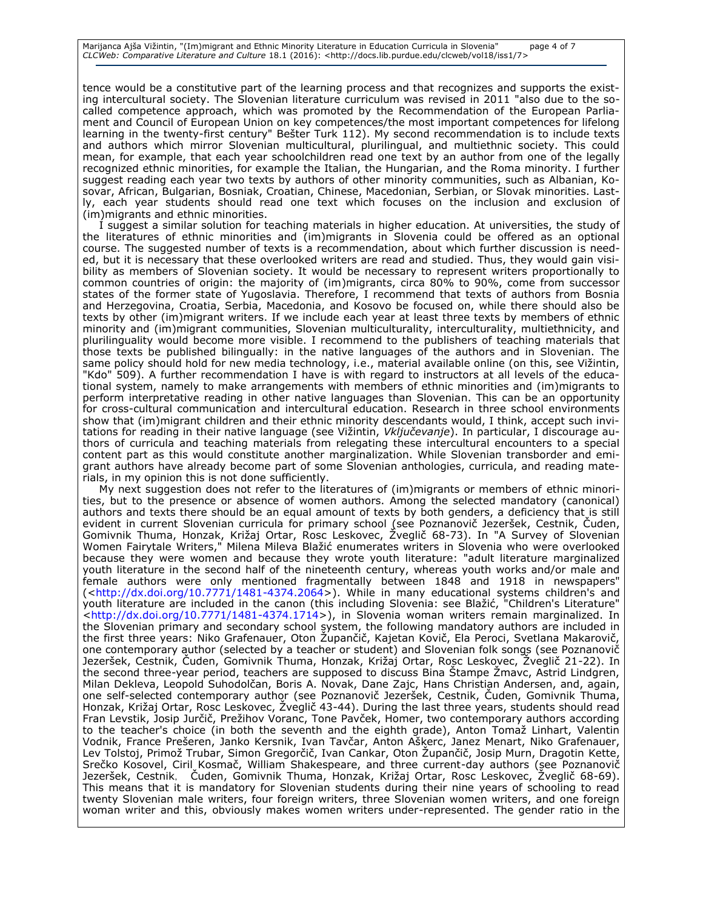tence would be a constitutive part of the learning process and that recognizes and supports the existing intercultural society. The Slovenian literature curriculum was revised in 2011 "also due to the socalled competence approach, which was promoted by the Recommendation of the European Parliament and Council of European Union on key competences/the most important competences for lifelong learning in the twenty-first century" Bešter Turk 112). My second recommendation is to include texts and authors which mirror Slovenian multicultural, plurilingual, and multiethnic society. This could mean, for example, that each year schoolchildren read one text by an author from one of the legally recognized ethnic minorities, for example the Italian, the Hungarian, and the Roma minority. I further suggest reading each year two texts by authors of other minority communities, such as Albanian, Kosovar, African, Bulgarian, Bosniak, Croatian, Chinese, Macedonian, Serbian, or Slovak minorities. Lastly, each year students should read one text which focuses on the inclusion and exclusion of (im)migrants and ethnic minorities.

I suggest a similar solution for teaching materials in higher education. At universities, the study of the literatures of ethnic minorities and (im)migrants in Slovenia could be offered as an optional course. The suggested number of texts is a recommendation, about which further discussion is needed, but it is necessary that these overlooked writers are read and studied. Thus, they would gain visibility as members of Slovenian society. It would be necessary to represent writers proportionally to common countries of origin: the majority of (im)migrants, circa 80% to 90%, come from successor states of the former state of Yugoslavia. Therefore, I recommend that texts of authors from Bosnia and Herzegovina, Croatia, Serbia, Macedonia, and Kosovo be focused on, while there should also be texts by other (im)migrant writers. If we include each year at least three texts by members of ethnic minority and (im)migrant communities, Slovenian multiculturality, interculturality, multiethnicity, and plurilinguality would become more visible. I recommend to the publishers of teaching materials that those texts be published bilingually: in the native languages of the authors and in Slovenian. The same policy should hold for new media technology, i.e., material available online (on this, see Vižintin, "Kdo" 509). A further recommendation I have is with regard to instructors at all levels of the educational system, namely to make arrangements with members of ethnic minorities and (im)migrants to perform interpretative reading in other native languages than Slovenian. This can be an opportunity for cross-cultural communication and intercultural education. Research in three school environments show that (im)migrant children and their ethnic minority descendants would, I think, accept such invitations for reading in their native language (see Vižintin, *Vključevanje*). In particular, I discourage authors of curricula and teaching materials from relegating these intercultural encounters to a special content part as this would constitute another marginalization. While Slovenian transborder and emigrant authors have already become part of some Slovenian anthologies, curricula, and reading materials, in my opinion this is not done sufficiently.

My next suggestion does not refer to the literatures of (im)migrants or members of ethnic minorities, but to the presence or absence of women authors. Among the selected mandatory (canonical) authors and texts there should be an equal amount of texts by both genders, a deficiency that is still evident in current Slovenian curricula for primary school (see Poznanovič Jezeršek, Cestnik, Čuden, Gomivnik Thuma, Honzak, Križaj Ortar, Rosc Leskovec, Žveglič 68-73). In "A Survey of Slovenian Women Fairytale Writers," Milena Mileva Blažić enumerates writers in Slovenia who were overlooked because they were women and because they wrote youth literature: "adult literature marginalized youth literature in the second half of the nineteenth century, whereas youth works and/or male and female authors were only mentioned fragmentally between 1848 and 1918 in newspapers" ([<http://dx.doi.org/10.7771/1481-4374.2064>](http://dx.doi.org/10.7771/1481-4374.2064)). While in many educational systems children's and youth literature are included in the canon (this including Slovenia: see Blažić, "Children's Literature" [<http://dx.doi.org/10.7771/1481-4374.1714>](http://dx.doi.org/10.7771/1481-4374.1714)), in Slovenia woman writers remain marginalized. In the Slovenian primary and secondary school system, the following mandatory authors are included in the first three years: Niko Grafenauer, Oton Župančič, Kajetan Kovič, Ela Peroci, Svetlana Makarovič, one contemporary author (selected by a teacher or student) and Slovenian folk songs (see Poznanovič Jezeršek, Cestnik, Čuden, Gomivnik Thuma, Honzak, Križaj Ortar, Rosc Leskovec, Žveglič 21-22). In the second three*-*year period, teachers are supposed to discuss Bina Štampe Žmavc, Astrid Lindgren, Milan Dekleva, Leopold Suhodolčan, Boris A. Novak, Dane Zajc, Hans Christian Andersen, and, again, one self-selected contemporary author (see Poznanovič Jezeršek, Cestnik, Čuden, Gomivnik Thuma, Honzak, Križaj Ortar, Rosc Leskovec, Žveglič 43-44). During the last three years, students should read Fran Levstik, Josip Jurčič, Prežihov Voranc, Tone Pavček, Homer, two contemporary authors according to the teacher's choice (in both the seventh and the eighth grade), Anton Tomaž Linhart, Valentin Vodnik, France Prešeren, Janko Kersnik, Ivan Tavčar, Anton Aškerc, Janez Menart, Niko Grafenauer, Lev Tolstoj, Primož Trubar, Simon Gregorčič, Ivan Cankar, Oton Župančič, Josip Murn, Dragotin Kette, Srečko Kosovel, Ciril Kosmač, William Shakespeare, and three current-day authors (see Poznanovič Jezeršek, Cestnik, Čuden, Gomivnik Thuma, Honzak, Križaj Ortar, Rosc Leskovec, Žveglič 68-69). This means that it is mandatory for Slovenian students during their nine years of schooling to read twenty Slovenian male writers, four foreign writers, three Slovenian women writers, and one foreign woman writer and this, obviously makes women writers under-represented. The gender ratio in the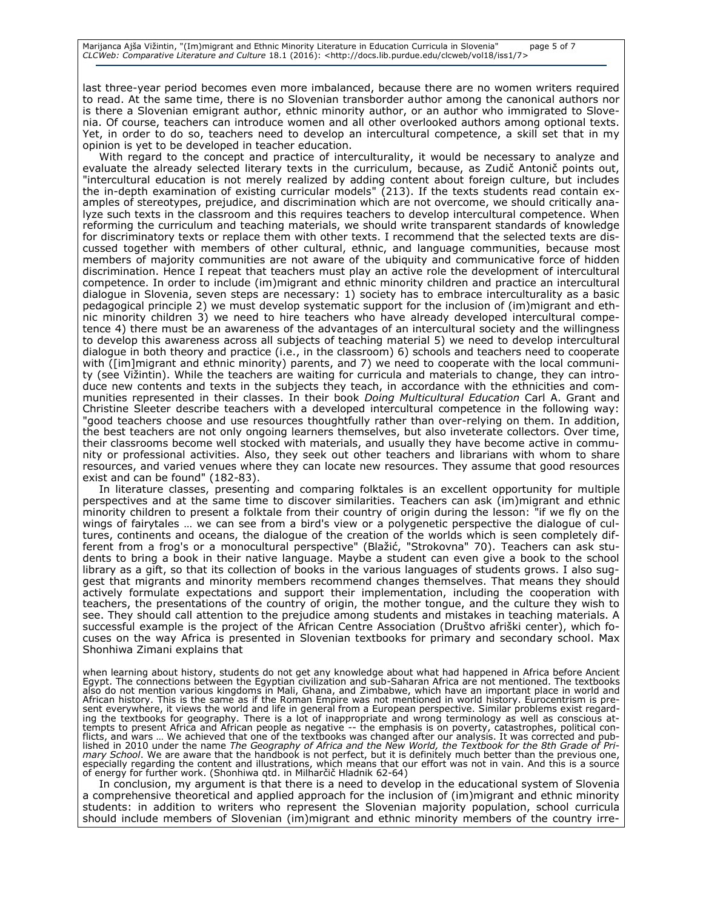last three-year period becomes even more imbalanced, because there are no women writers required to read. At the same time, there is no Slovenian transborder author among the canonical authors nor is there a Slovenian emigrant author, ethnic minority author, or an author who immigrated to Slovenia. Of course, teachers can introduce women and all other overlooked authors among optional texts. Yet, in order to do so, teachers need to develop an intercultural competence, a skill set that in my opinion is yet to be developed in teacher education.

With regard to the concept and practice of interculturality, it would be necessary to analyze and evaluate the already selected literary texts in the curriculum, because, as Zudič Antonič points out, "intercultural education is not merely realized by adding content about foreign culture, but includes the in-depth examination of existing curricular models" (213). If the texts students read contain examples of stereotypes, prejudice, and discrimination which are not overcome, we should critically analyze such texts in the classroom and this requires teachers to develop intercultural competence. When reforming the curriculum and teaching materials, we should write transparent standards of knowledge for discriminatory texts or replace them with other texts. I recommend that the selected texts are discussed together with members of other cultural, ethnic, and language communities, because most members of majority communities are not aware of the ubiquity and communicative force of hidden discrimination. Hence I repeat that teachers must play an active role the development of intercultural competence. In order to include (im)migrant and ethnic minority children and practice an intercultural dialogue in Slovenia, seven steps are necessary: 1) society has to embrace interculturality as a basic pedagogical principle 2) we must develop systematic support for the inclusion of (im)migrant and ethnic minority children 3) we need to hire teachers who have already developed intercultural competence 4) there must be an awareness of the advantages of an intercultural society and the willingness to develop this awareness across all subjects of teaching material 5) we need to develop intercultural dialogue in both theory and practice (i.e., in the classroom) 6) schools and teachers need to cooperate with ([im]migrant and ethnic minority) parents, and 7) we need to cooperate with the local community (see Vižintin). While the teachers are waiting for curricula and materials to change, they can introduce new contents and texts in the subjects they teach, in accordance with the ethnicities and communities represented in their classes. In their book *Doing Multicultural Education* Carl A. Grant and Christine Sleeter describe teachers with a developed intercultural competence in the following way: "good teachers choose and use resources thoughtfully rather than over-relying on them. In addition, the best teachers are not only ongoing learners themselves, but also inveterate collectors. Over time, their classrooms become well stocked with materials, and usually they have become active in community or professional activities. Also, they seek out other teachers and librarians with whom to share resources, and varied venues where they can locate new resources. They assume that good resources exist and can be found" (182-83).

In literature classes, presenting and comparing folktales is an excellent opportunity for multiple perspectives and at the same time to discover similarities. Teachers can ask (im)migrant and ethnic minority children to present a folktale from their country of origin during the lesson: "if we fly on the wings of fairytales … we can see from a bird's view or a polygenetic perspective the dialogue of cultures, continents and oceans, the dialogue of the creation of the worlds which is seen completely different from a frog's or a monocultural perspective" (Blažić, "Strokovna" 70). Teachers can ask students to bring a book in their native language. Maybe a student can even give a book to the school library as a gift, so that its collection of books in the various languages of students grows. I also suggest that migrants and minority members recommend changes themselves. That means they should actively formulate expectations and support their implementation, including the cooperation with teachers, the presentations of the country of origin, the mother tongue, and the culture they wish to see. They should call attention to the prejudice among students and mistakes in teaching materials. A successful example is the project of the African Centre Association (Društvo afriški center), which focuses on the way Africa is presented in Slovenian textbooks for primary and secondary school. Max Shonhiwa Zimani explains that

when learning about history, students do not get any knowledge about what had happened in Africa before Ancient<br>Egypt. The connections between the Egyptian civilization and sub-Saharan Africa are not mentioned. The textboo also do not mention various kingdoms in Mali, Ghana, and Zimbabwe, which have an important place in world and African history. This is the same as if the Roman Empire was not mentioned in world history. Eurocentrism is pre<br>sent everywhere, it views the world and life in general from a European perspective. Similar problems exist r ing the textbooks for geography. There is a lot of inappropriate and wrong terminology as well as conscious attempts to present Africa and African people as negative -- the emphasis is on poverty, catastrophes, political con-<br>flicts, and wars … We achieved that one of the textbooks was changed after our analysis. It was corrected lished in 2010 under the name *The Geography of Africa and the New World, the Textbook for the 8th Grade of Primary School*. We are aware that the handbook is not perfect, but it is definitely much better than the previous one, especially regarding the content and illustrations, which means that our effort was not in vain. And this is a source of energy for further work. (Shonhiwa qtd. in Milharčič Hladnik 62-64)

In conclusion, my argument is that there is a need to develop in the educational system of Slovenia a comprehensive theoretical and applied approach for the inclusion of (im)migrant and ethnic minority students: in addition to writers who represent the Slovenian majority population, school curricula should include members of Slovenian (im)migrant and ethnic minority members of the country irre-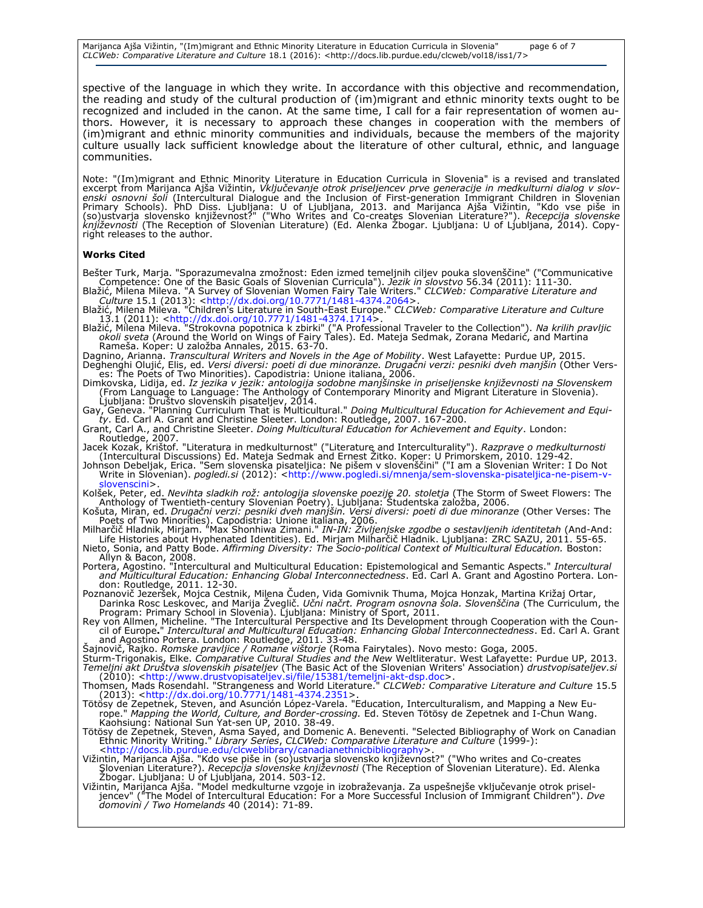Marijanca Ajša Vižintin, "(Im)migrant and Ethnic Minority Literature in Education Curricula in Slovenia" page 6 of 7 *CLCWeb: Comparative Literature and Culture* 18.1 (2016): <http://docs.lib.purdue.edu/clcweb/vol18/iss1/7>

spective of the language in which they write. In accordance with this objective and recommendation, the reading and study of the cultural production of (im)migrant and ethnic minority texts ought to be recognized and included in the canon. At the same time, I call for a fair representation of women authors. However, it is necessary to approach these changes in cooperation with the members of (im)migrant and ethnic minority communities and individuals, because the members of the majority culture usually lack sufficient knowledge about the literature of other cultural, ethnic, and language communities.

Note: "(Im)migrant and Ethnic Minority Literature in Education Curricula in Slovenia" is a revised and translated excerpt from Marijanca Ajša Vižintin, *Vključevanje otrok priseljencev prve generacije in medkulturni dialog v slovenski osnovni šoli* (Intercultural Dialogue and the Inclusion of First-generation Immigrant Children in Slovenian<br>Primary Schools). PhD Diss. Ljubljana: U of Ljubljana, 2013. and Marijanca Ajša Vižintin, "Kdo vse piše in (so)ustvarja slovensko književnost?" ("Who Writes and Co-creates Slovenian Literature?"). *Recepcija slovenske književnosti* (The Reception of Slovenian Literature) (Ed. Alenka Žbogar. Ljubljana: U of Ljubljana, 2014). Copyright releases to the author.

#### **Works Cited**

- Bešter Turk, Marja. "Sporazumevalna zmožnost: Eden izmed temeljnih ciljev pouka slovenščine" ("Communicative Competence: One of the Basic Goals of Slovenian Curricula"). *Jezik in slovstvo* 56.34 (2011): 111-30. Blažić, Milena Mileva. "A Survey of Slovenian Women Fairy Tale Writers." *CLCWeb: Comparative Literature and*
- *Culture* 15.1 (2013): [<http://dx.doi.org/10.7771/1481-4374.2064>](http://dx.doi.org/10.7771/1481-4374.2064). Blažić, Milena Mileva. "Children's Literature in South-East Europe." *CLCWeb: Comparative Literature and Culture* 13.1 (2011): [<http://dx.doi.org/10.7771/1481-4374.1714>](http://dx.doi.org/10.7771/1481-4374.1714).
- Blažić, Milena Mileva. "Strokovna popotnica k zbirki" ("A Professional Traveler to the Collection"). *Na krilih pravljic*<br>okoli sveta (Around the World on Wings of Fairy Tales). Ed. Mateja Sedmak, Zorana Medarić, and Marti Rameša. Koper: U založba Annales, 2015. 63-70.
- Dagnino, Arianna. *Transcultural Writers and Novels in the Age of Mobility*. West Lafayette: Purdue UP, 2015.<br>Deghenghi Olujić, Elis, ed. *Versi diversi: poeti di due minoranze. Drugačni verzi: pesniki dveh manjšin* (Other

es: The Poets of Two Minorities). Capodistria: Unione italiana, 2006.

Dimkovska, Lidija, ed. *Iz jezika v jezik: antologija sodobne manjšinske in priseljenske književnosti na Slovenskem*<br>(From Language to Language: The Anthology of Contemporary Minority and Migrant Literature in Slovenia). Ljubljana: Društvo slovenskih pisateljev, 2014.

Gay, Geneva. "Planning Curriculum That is Multicultural." *Doing Multicultural Education for Achievement and Equi-ty*. Ed. Carl A. Grant and Christine Sleeter. London: Routledge, 2007. 167-200.

Grant, Carl A., and Christine Sleeter. *Doing Multicultural Education for Achievement and Equity*. London:

Routledge, 2007. Jacek Kozak, Krištof. "Literatura in medkulturnost" ("Literature and Interculturality"). *Razprave o medkulturnosti* (Intercultural Discussions) Ed. Mateja Sedmak and Ernest Žitko. Koper: U Primorskem, 2010. 129-42.

Johnson Debeljak, Erica. "Sem slovenska pisateljica: Ne pišem v slovenščini" ("I am a Slovenian Writer: I Do Not<br>-Write in Slovenian). *pogledi.si (*2012): <http://www.pogledi.si/mnenja/sem-slovenska-pisateljica-ne-pisem-v [slovenscini>](http://www.pogledi.si/mnenja/sem-slovenska-pisateljica-ne-pisem-v-slovenscini).

Kolšek, Peter, ed. *Nevihta sladkih rož: antologija slovenske poezije 20. stoletja* (The Storm of Sweet Flowers: The Anthology of Twentieth-century Slovenian Poetry). Ljubljana: Študentska založba, 2006.

Košuta, Miran, ed. *Drugačni verzi: pesniki dveh manjšin. Versi diversi: poeti di due minoranze* (Other Verses: The Poets of Two Minorities). Capodistria: Unione italiana, 2006. Milharčič Hladnik, Mirjam. "Max Shonhiwa Zimani." *IN-IN: Življenjske zgodbe o sestavljenih identitetah* (And-And:

Life Histories about Hyphenated Identities). Ed. Mirjam Milharčič Hladnik. Ljubljana: ZRC SAZU, 2011. 55-65. Nieto, Sonia, and Patty Bode. *Affirming Diversity: The Socio-political Context of Multicultural Education.* Boston: Allyn & Bacon, 2008.

Portera, Agostino. "Intercultural and Multicultural Education: Epistemological and Semantic Aspects." *Intercultural and Multicultural Education: Enhancing Global Interconnectedness*. Ed. Carl A. Grant and Agostino Portera. Lon-don: Routledge, 2011. 12-30.

Poznanovič Jezeršek, Mojca Cestnik, Milena Čuden, Vida Gomivnik Thuma, Mojca Honzak, Martina Križaj Ortar,<br>Darinka Rosc Leskovec, and Marija Žveglič. *Učni načrt. Program osnovna šola. Slovenščina* (The Curriculum, the<br>Pro

Rey von Allmen, Micheline. "The Intercultural Perspective and Its Development through Cooperation with the Council of Europe " *Intercultural and Multicultural Education: Enhancing Global Interconnectedness*. Ed. Carl A. Grant<br>and Agostino Portera. London: Routledge, 2011. 33-48.<br>Šajnovič, Rajko. *Romske pravljice / Romane vištorje* 

Sturm-Trigonakis, Elke. *Comparative Cultural Studies and the New* Weltliteratur. West Lafayette: Purdue UP, 2013.<br>*Temeljni akt Društva slovenskih pisateljev* (The Basic Act of the Slovenian Writers' Association) *drustvo* (2010): [<http://www.drustvopisateljev.si/file/15381/temeljni-akt-dsp.doc>](http://www.drustvopisateljev.si/file/15381/temeljni-akt-dsp.doc).

Thomsen, Mads Rosendahl. "Strangeness and World Literature." *CLCWeb: Comparative Literature and Culture* 15.5 (2013): [<http://dx.doi.org/10.7771/1481-4374.2351>](http://dx.doi.org/10.7771/1481-4374.2351).

Tötösy de Zepetnek, Steven, and Asunción López-Varela. "Education, Interculturalism, and Mapping a New Europe." *Mapping the World, Culture, and Border-crossing.* Ed. Steven Tötösy de Zepetnek and I-Chun Wang.<br>Kaohsiung: National Sun Yat-sen UP, 2010. 38-49.

Tötösy de Zepetnek, Steven, Asma Sayed, and Domenic A. Beneventi. "Selected Bibliography of Work on Canadian Ethnic Minority Writing." *Library Series, CLCWeb: Comparative Literature and Culture* (1999-):<br>[<http://docs.lib.purdue.edu/clcweblibrary/canadianethnicbibliography>](http://docs.lib.purdue.edu/clcweblibrary/canadianethnicbibliography).

Vižintin, Marijanca Ajša. "Kdo vse piše in (so)ustvarja slovensko književnost?" ("Who writes and Co-creates Slovenian Literature?). *Recepcija slovenske književnosti (*The Reception of Slovenian Literature). Ed. Alenka<br>Žbogar. Ljubljana: U of Ljubljana, 2014. 503-12.

Vižintin, Marijanca Ajša. "Model medkulturne vzgoje in izobraževanja. Za uspešnejše vključevanje otrok priseljencev" ("The Model of Intercultural Education: For a More Successful Inclusion of Immigrant Children"). *Dve domovini / Two Homelands* 40 (2014): 71-89.